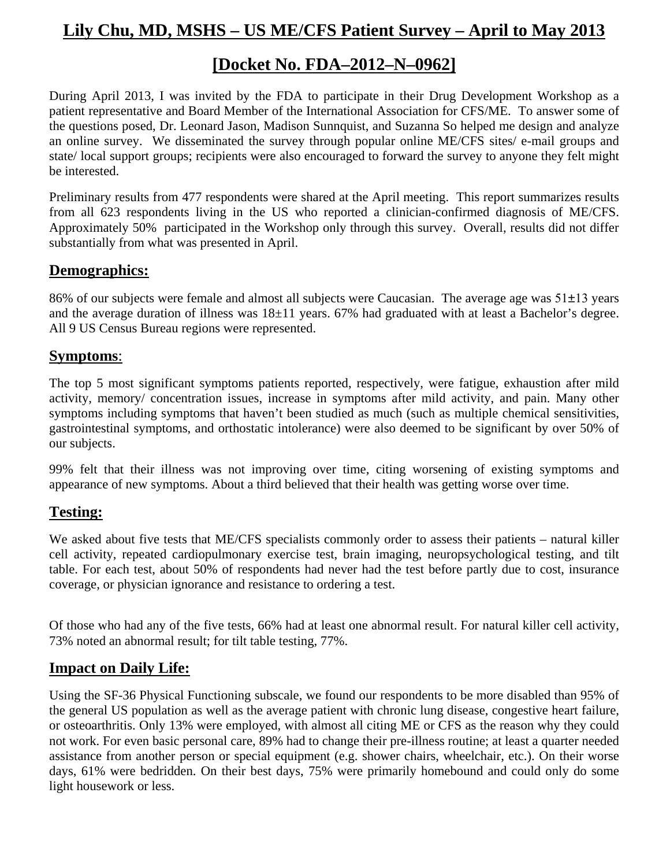# **Lily Chu, MD, MSHS – US ME/CFS Patient Survey – April to May 2013**

## **[Docket No. FDA–2012–N–0962]**

During April 2013, I was invited by the FDA to participate in their Drug Development Workshop as a patient representative and Board Member of the International Association for CFS/ME. To answer some of the questions posed, Dr. Leonard Jason, Madison Sunnquist, and Suzanna So helped me design and analyze an online survey. We disseminated the survey through popular online ME/CFS sites/ e-mail groups and state/ local support groups; recipients were also encouraged to forward the survey to anyone they felt might be interested.

Preliminary results from 477 respondents were shared at the April meeting. This report summarizes results from all 623 respondents living in the US who reported a clinician-confirmed diagnosis of ME/CFS. Approximately 50% participated in the Workshop only through this survey. Overall, results did not differ substantially from what was presented in April.

#### **Demographics:**

86% of our subjects were female and almost all subjects were Caucasian. The average age was  $51\pm13$  years and the average duration of illness was  $18\pm11$  years. 67% had graduated with at least a Bachelor's degree. All 9 US Census Bureau regions were represented.

#### **Symptoms**:

The top 5 most significant symptoms patients reported, respectively, were fatigue, exhaustion after mild activity, memory/ concentration issues, increase in symptoms after mild activity, and pain. Many other symptoms including symptoms that haven't been studied as much (such as multiple chemical sensitivities, gastrointestinal symptoms, and orthostatic intolerance) were also deemed to be significant by over 50% of our subjects.

99% felt that their illness was not improving over time, citing worsening of existing symptoms and appearance of new symptoms. About a third believed that their health was getting worse over time.

#### **Testing:**

We asked about five tests that ME/CFS specialists commonly order to assess their patients – natural killer cell activity, repeated cardiopulmonary exercise test, brain imaging, neuropsychological testing, and tilt table. For each test, about 50% of respondents had never had the test before partly due to cost, insurance coverage, or physician ignorance and resistance to ordering a test.

Of those who had any of the five tests, 66% had at least one abnormal result. For natural killer cell activity, 73% noted an abnormal result; for tilt table testing, 77%.

#### **Impact on Daily Life:**

Using the SF-36 Physical Functioning subscale, we found our respondents to be more disabled than 95% of the general US population as well as the average patient with chronic lung disease, congestive heart failure, or osteoarthritis. Only 13% were employed, with almost all citing ME or CFS as the reason why they could not work. For even basic personal care, 89% had to change their pre-illness routine; at least a quarter needed assistance from another person or special equipment (e.g. shower chairs, wheelchair, etc.). On their worse days, 61% were bedridden. On their best days, 75% were primarily homebound and could only do some light housework or less.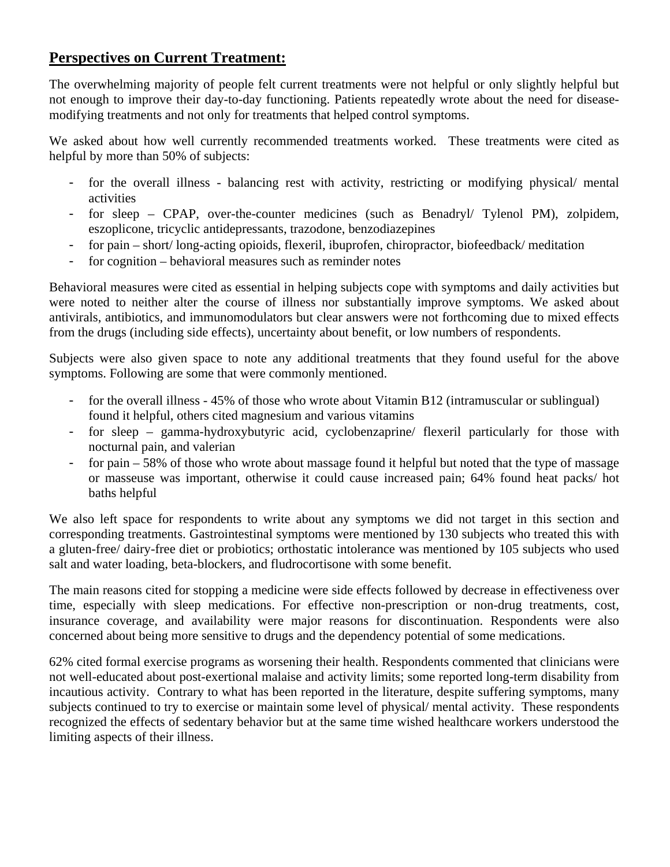## **Perspectives on Current Treatment:**

The overwhelming majority of people felt current treatments were not helpful or only slightly helpful but not enough to improve their day-to-day functioning. Patients repeatedly wrote about the need for diseasemodifying treatments and not only for treatments that helped control symptoms.

We asked about how well currently recommended treatments worked. These treatments were cited as helpful by more than 50% of subjects:

- for the overall illness balancing rest with activity, restricting or modifying physical/ mental activities
- for sleep CPAP, over-the-counter medicines (such as Benadryl/ Tylenol PM), zolpidem, eszoplicone, tricyclic antidepressants, trazodone, benzodiazepines
- for pain short/ long-acting opioids, flexeril, ibuprofen, chiropractor, biofeedback/ meditation
- for cognition behavioral measures such as reminder notes

Behavioral measures were cited as essential in helping subjects cope with symptoms and daily activities but were noted to neither alter the course of illness nor substantially improve symptoms. We asked about antivirals, antibiotics, and immunomodulators but clear answers were not forthcoming due to mixed effects from the drugs (including side effects), uncertainty about benefit, or low numbers of respondents.

Subjects were also given space to note any additional treatments that they found useful for the above symptoms. Following are some that were commonly mentioned.

- for the overall illness 45% of those who wrote about Vitamin B12 (intramuscular or sublingual) found it helpful, others cited magnesium and various vitamins
- for sleep gamma-hydroxybutyric acid, cyclobenzaprine/ flexeril particularly for those with nocturnal pain, and valerian
- for pain 58% of those who wrote about massage found it helpful but noted that the type of massage or masseuse was important, otherwise it could cause increased pain; 64% found heat packs/ hot baths helpful

We also left space for respondents to write about any symptoms we did not target in this section and corresponding treatments. Gastrointestinal symptoms were mentioned by 130 subjects who treated this with a gluten-free/ dairy-free diet or probiotics; orthostatic intolerance was mentioned by 105 subjects who used salt and water loading, beta-blockers, and fludrocortisone with some benefit.

The main reasons cited for stopping a medicine were side effects followed by decrease in effectiveness over time, especially with sleep medications. For effective non-prescription or non-drug treatments, cost, insurance coverage, and availability were major reasons for discontinuation. Respondents were also concerned about being more sensitive to drugs and the dependency potential of some medications.

62% cited formal exercise programs as worsening their health. Respondents commented that clinicians were not well-educated about post-exertional malaise and activity limits; some reported long-term disability from incautious activity. Contrary to what has been reported in the literature, despite suffering symptoms, many subjects continued to try to exercise or maintain some level of physical/ mental activity. These respondents recognized the effects of sedentary behavior but at the same time wished healthcare workers understood the limiting aspects of their illness.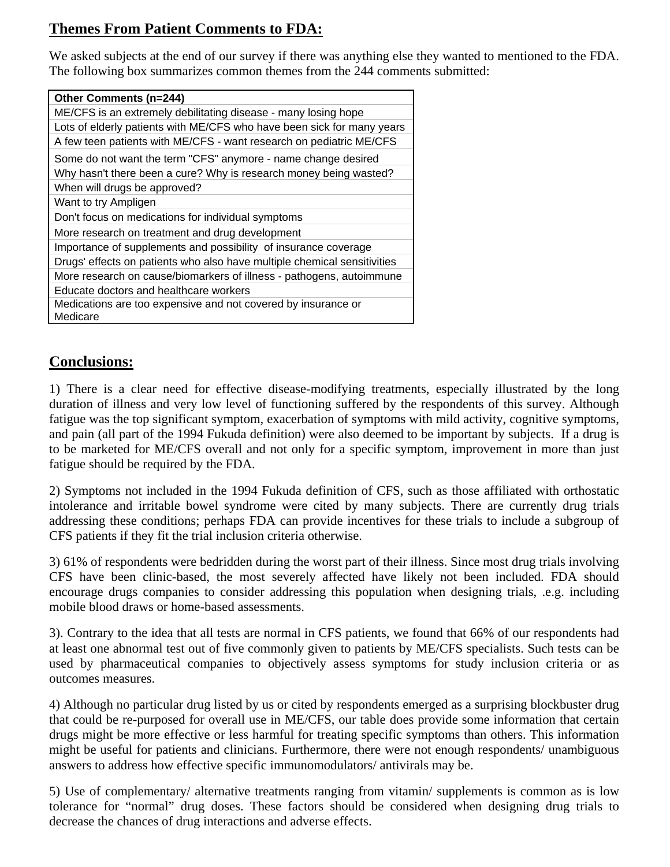## **Themes From Patient Comments to FDA:**

We asked subjects at the end of our survey if there was anything else they wanted to mentioned to the FDA. The following box summarizes common themes from the 244 comments submitted:

| <b>Other Comments (n=244)</b>                                             |
|---------------------------------------------------------------------------|
| ME/CFS is an extremely debilitating disease - many losing hope            |
| Lots of elderly patients with ME/CFS who have been sick for many years    |
| A few teen patients with ME/CFS - want research on pediatric ME/CFS       |
| Some do not want the term "CFS" anymore - name change desired             |
| Why hasn't there been a cure? Why is research money being wasted?         |
| When will drugs be approved?                                              |
| Want to try Ampligen                                                      |
| Don't focus on medications for individual symptoms                        |
| More research on treatment and drug development                           |
| Importance of supplements and possibility of insurance coverage           |
| Drugs' effects on patients who also have multiple chemical sensitivities  |
| More research on cause/biomarkers of illness - pathogens, autoimmune      |
| Educate doctors and healthcare workers                                    |
| Medications are too expensive and not covered by insurance or<br>Medicare |

## **Conclusions:**

1) There is a clear need for effective disease-modifying treatments, especially illustrated by the long duration of illness and very low level of functioning suffered by the respondents of this survey. Although fatigue was the top significant symptom, exacerbation of symptoms with mild activity, cognitive symptoms, and pain (all part of the 1994 Fukuda definition) were also deemed to be important by subjects. If a drug is to be marketed for ME/CFS overall and not only for a specific symptom, improvement in more than just fatigue should be required by the FDA.

2) Symptoms not included in the 1994 Fukuda definition of CFS, such as those affiliated with orthostatic intolerance and irritable bowel syndrome were cited by many subjects. There are currently drug trials addressing these conditions; perhaps FDA can provide incentives for these trials to include a subgroup of CFS patients if they fit the trial inclusion criteria otherwise.

3) 61% of respondents were bedridden during the worst part of their illness. Since most drug trials involving CFS have been clinic-based, the most severely affected have likely not been included. FDA should encourage drugs companies to consider addressing this population when designing trials, .e.g. including mobile blood draws or home-based assessments.

3). Contrary to the idea that all tests are normal in CFS patients, we found that 66% of our respondents had at least one abnormal test out of five commonly given to patients by ME/CFS specialists. Such tests can be used by pharmaceutical companies to objectively assess symptoms for study inclusion criteria or as outcomes measures.

4) Although no particular drug listed by us or cited by respondents emerged as a surprising blockbuster drug that could be re-purposed for overall use in ME/CFS, our table does provide some information that certain drugs might be more effective or less harmful for treating specific symptoms than others. This information might be useful for patients and clinicians. Furthermore, there were not enough respondents/ unambiguous answers to address how effective specific immunomodulators/ antivirals may be.

5) Use of complementary/ alternative treatments ranging from vitamin/ supplements is common as is low tolerance for "normal" drug doses. These factors should be considered when designing drug trials to decrease the chances of drug interactions and adverse effects.